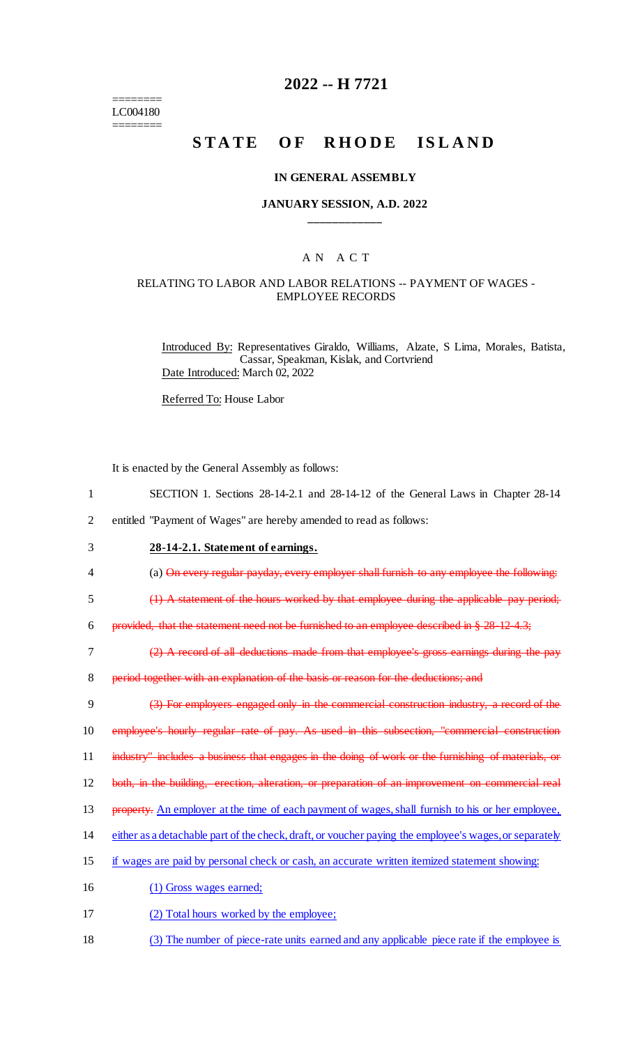======== LC004180 ========

## **2022 -- H 7721**

# STATE OF RHODE ISLAND

#### **IN GENERAL ASSEMBLY**

#### **JANUARY SESSION, A.D. 2022 \_\_\_\_\_\_\_\_\_\_\_\_**

### A N A C T

### RELATING TO LABOR AND LABOR RELATIONS -- PAYMENT OF WAGES - EMPLOYEE RECORDS

Introduced By: Representatives Giraldo, Williams, Alzate, S Lima, Morales, Batista, Cassar, Speakman, Kislak, and Cortvriend Date Introduced: March 02, 2022

Referred To: House Labor

It is enacted by the General Assembly as follows:

- 1 SECTION 1. Sections 28-14-2.1 and 28-14-12 of the General Laws in Chapter 28-14
- 2 entitled "Payment of Wages" are hereby amended to read as follows:
- 3 **28-14-2.1. Statement of earnings.**
- 4 (a) On every regular payday, every employer shall furnish to any employee the following:
- 5 (1) A statement of the hours worked by that employee during the applicable pay period;

6 provided, that the statement need not be furnished to an employee described in § 28-12-4.3;

7 (2) A record of all deductions made from that employee's gross earnings during the pay

8 period together with an explanation of the basis or reason for the deductions; and

9 (3) For employers engaged only in the commercial construction industry, a record of the 10 employee's hourly regular rate of pay. As used in this subsection, "commercial construction 11 industry" includes a business that engages in the doing of work or the furnishing of materials, or

12 both, in the building, erection, alteration, or preparation of an improvement on commercial real

- 13 property. An employer at the time of each payment of wages, shall furnish to his or her employee,
- 14 either as a detachable part of the check, draft, or voucher paying the employee's wages, or separately
- 15 if wages are paid by personal check or cash, an accurate written itemized statement showing:
- 16 (1) Gross wages earned;
- 17 (2) Total hours worked by the employee;
- 18 (3) The number of piece-rate units earned and any applicable piece rate if the employee is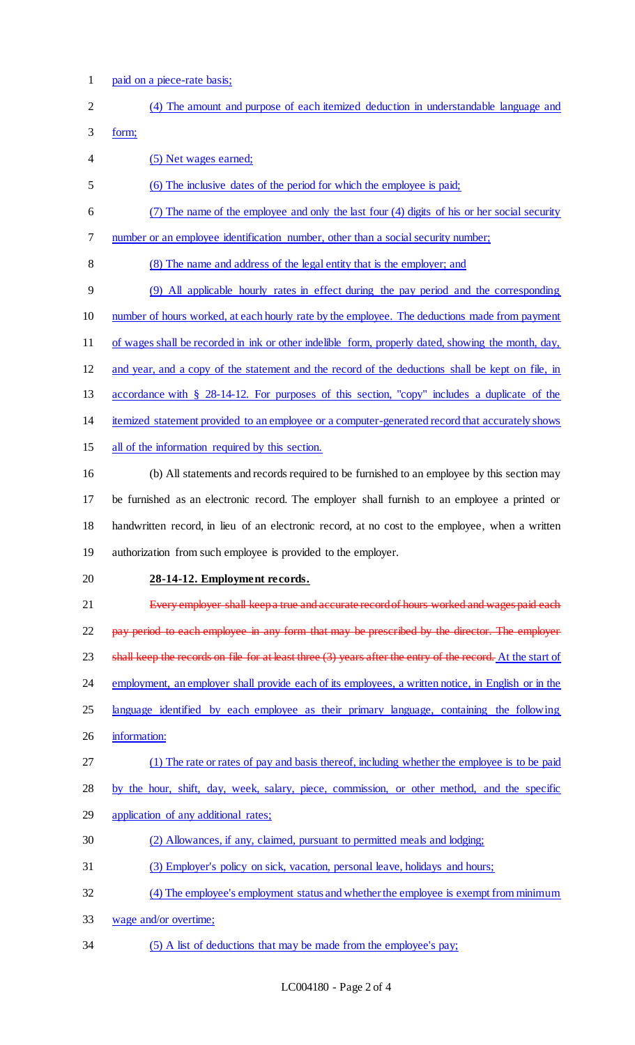1 paid on a piece-rate basis;

| $\overline{2}$ | (4) The amount and purpose of each itemized deduction in understandable language and                         |
|----------------|--------------------------------------------------------------------------------------------------------------|
| 3              | form;                                                                                                        |
| 4              | (5) Net wages earned;                                                                                        |
| 5              | (6) The inclusive dates of the period for which the employee is paid;                                        |
| 6              | (7) The name of the employee and only the last four (4) digits of his or her social security                 |
| 7              | number or an employee identification number, other than a social security number;                            |
| 8              | (8) The name and address of the legal entity that is the employer; and                                       |
| 9              | (9) All applicable hourly rates in effect during the pay period and the corresponding                        |
| 10             | number of hours worked, at each hourly rate by the employee. The deductions made from payment                |
| 11             | of wages shall be recorded in ink or other indelible form, properly dated, showing the month, day,           |
| 12             | and year, and a copy of the statement and the record of the deductions shall be kept on file, in             |
| 13             | accordance with § 28-14-12. For purposes of this section, "copy" includes a duplicate of the                 |
| 14             | itemized statement provided to an employee or a computer-generated record that accurately shows              |
| 15             | all of the information required by this section.                                                             |
| 16             | (b) All statements and records required to be furnished to an employee by this section may                   |
| 17             | be furnished as an electronic record. The employer shall furnish to an employee a printed or                 |
| 18             | handwritten record, in lieu of an electronic record, at no cost to the employee, when a written              |
| 19             | authorization from such employee is provided to the employer.                                                |
| 20             | 28-14-12. Employment records.                                                                                |
| 21             | Every employer shall keepa true and accurate record of hours worked and wages paid each                      |
| 22             | pay period to each employee in any form that may be prescribed by the director. The employer                 |
| 23             | shall keep the records on file for at least three $(3)$ years after the entry of the record. At the start of |
| 24             | employment, an employer shall provide each of its employees, a written notice, in English or in the          |
| 25             | language identified by each employee as their primary language, containing the following                     |
| 26             | information:                                                                                                 |
| 27             | (1) The rate or rates of pay and basis thereof, including whether the employee is to be paid                 |
| 28             | by the hour, shift, day, week, salary, piece, commission, or other method, and the specific                  |
| 29             | application of any additional rates;                                                                         |
| 30             | (2) Allowances, if any, claimed, pursuant to permitted meals and lodging;                                    |
| 31             | (3) Employer's policy on sick, vacation, personal leave, holidays and hours;                                 |
| 32             | (4) The employee's employment status and whether the employee is exempt from minimum                         |
| 33             | wage and/or overtime;                                                                                        |
| 34             | (5) A list of deductions that may be made from the employee's pay;                                           |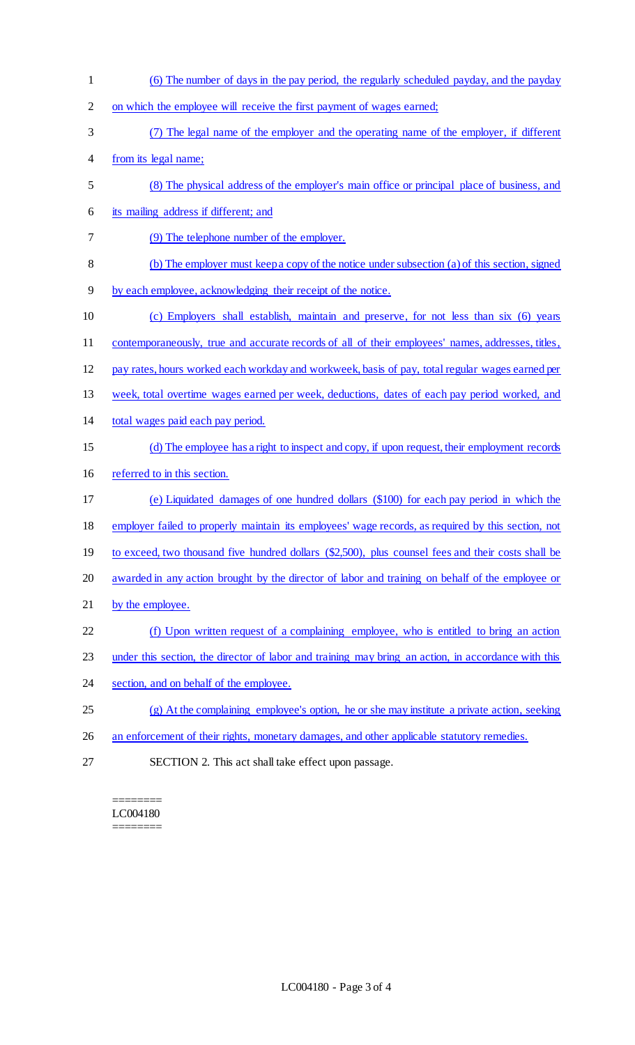(6) The number of days in the pay period, the regularly scheduled payday, and the payday on which the employee will receive the first payment of wages earned; (7) The legal name of the employer and the operating name of the employer, if different from its legal name; (8) The physical address of the employer's main office or principal place of business, and its mailing address if different; and (9) The telephone number of the employer. (b) The employer must keep a copy of the notice under subsection (a) of this section, signed by each employee, acknowledging their receipt of the notice. (c) Employers shall establish, maintain and preserve, for not less than six (6) years contemporaneously, true and accurate records of all of their employees' names, addresses, titles, pay rates, hours worked each workday and workweek, basis of pay, total regular wages earned per week, total overtime wages earned per week, deductions, dates of each pay period worked, and total wages paid each pay period. (d) The employee has a right to inspect and copy, if upon request, their employment records referred to in this section. (e) Liquidated damages of one hundred dollars (\$100) for each pay period in which the employer failed to properly maintain its employees' wage records, as required by this section, not 19 to exceed, two thousand five hundred dollars (\$2,500), plus counsel fees and their costs shall be awarded in any action brought by the director of labor and training on behalf of the employee or 21 by the employee. (f) Upon written request of a complaining employee, who is entitled to bring an action 23 under this section, the director of labor and training may bring an action, in accordance with this 24 section, and on behalf of the employee. (g) At the complaining employee's option, he or she may institute a private action, seeking 26 an enforcement of their rights, monetary damages, and other applicable statutory remedies. SECTION 2. This act shall take effect upon passage.

======== LC004180 ========